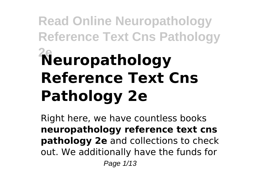# **Read Online Neuropathology Reference Text Cns Pathology 2eNeuropathology Reference Text Cns Pathology 2e**

Right here, we have countless books **neuropathology reference text cns pathology 2e** and collections to check out. We additionally have the funds for Page 1/13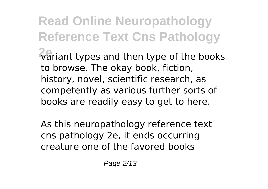**Read Online Neuropathology Reference Text Cns Pathology 2e**variant types and then type of the books to browse. The okay book, fiction, history, novel, scientific research, as competently as various further sorts of books are readily easy to get to here.

As this neuropathology reference text cns pathology 2e, it ends occurring creature one of the favored books

Page 2/13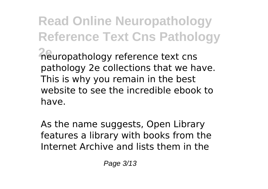**Read Online Neuropathology Reference Text Cns Pathology** *A*europathology reference text cns pathology 2e collections that we have. This is why you remain in the best website to see the incredible ebook to have.

As the name suggests, Open Library features a library with books from the Internet Archive and lists them in the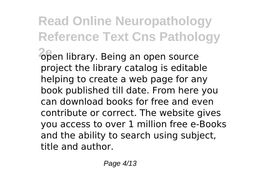### **Read Online Neuropathology Reference Text Cns Pathology 2e**open library. Being an open source project the library catalog is editable helping to create a web page for any book published till date. From here you can download books for free and even contribute or correct. The website gives you access to over 1 million free e-Books and the ability to search using subject, title and author.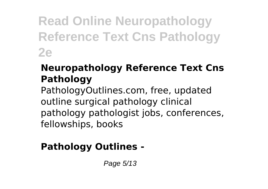**Read Online Neuropathology Reference Text Cns Pathology 2e**

### **Neuropathology Reference Text Cns Pathology**

PathologyOutlines.com, free, updated outline surgical pathology clinical pathology pathologist jobs, conferences, fellowships, books

### **Pathology Outlines -**

Page 5/13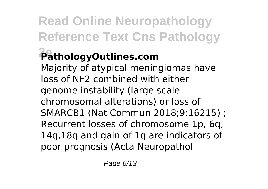# **Read Online Neuropathology Reference Text Cns Pathology**

## **2ePathologyOutlines.com**

Majority of atypical meningiomas have loss of NF2 combined with either genome instability (large scale chromosomal alterations) or loss of SMARCB1 (Nat Commun 2018;9:16215) ; Recurrent losses of chromosome 1p, 6q, 14q,18q and gain of 1q are indicators of poor prognosis (Acta Neuropathol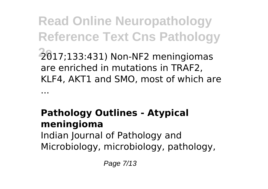**Read Online Neuropathology Reference Text Cns Pathology 2e**2017;133:431) Non-NF2 meningiomas are enriched in mutations in TRAF2, KLF4, AKT1 and SMO, most of which are ...

### **Pathology Outlines - Atypical meningioma** Indian Journal of Pathology and Microbiology, microbiology, pathology,

Page 7/13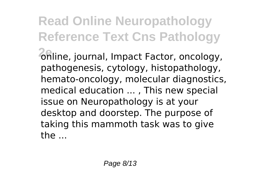**Read Online Neuropathology Reference Text Cns Pathology 2e**online, journal, Impact Factor, oncology, pathogenesis, cytology, histopathology, hemato-oncology, molecular diagnostics, medical education ... , This new special issue on Neuropathology is at your desktop and doorstep. The purpose of taking this mammoth task was to give the ...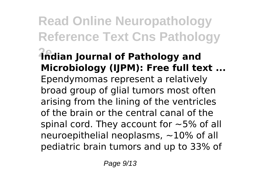### **Read Online Neuropathology Reference Text Cns Pathology 2eIndian Journal of Pathology and Microbiology (IJPM): Free full text ...** Ependymomas represent a relatively broad group of glial tumors most often arising from the lining of the ventricles of the brain or the central canal of the spinal cord. They account for  $\sim$  5% of all neuroepithelial neoplasms, ~10% of all pediatric brain tumors and up to 33% of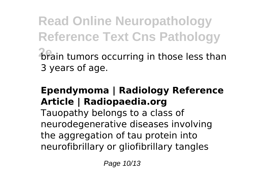**Read Online Neuropathology Reference Text Cns Pathology 2e**brain tumors occurring in those less than 3 years of age.

### **Ependymoma | Radiology Reference Article | Radiopaedia.org**

Tauopathy belongs to a class of neurodegenerative diseases involving the aggregation of tau protein into neurofibrillary or gliofibrillary tangles

Page 10/13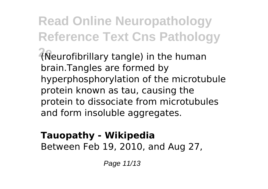**Read Online Neuropathology Reference Text Cns Pathology 2e**(Neurofibrillary tangle) in the human brain.Tangles are formed by hyperphosphorylation of the microtubule protein known as tau, causing the protein to dissociate from microtubules and form insoluble aggregates.

### **Tauopathy - Wikipedia** Between Feb 19, 2010, and Aug 27,

Page 11/13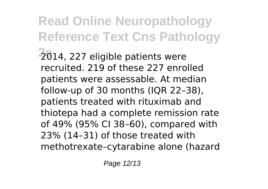**Read Online Neuropathology Reference Text Cns Pathology 2e**2014, 227 eligible patients were recruited. 219 of these 227 enrolled patients were assessable. At median follow-up of 30 months (IQR 22–38), patients treated with rituximab and thiotepa had a complete remission rate of 49% (95% CI 38–60), compared with 23% (14–31) of those treated with methotrexate–cytarabine alone (hazard